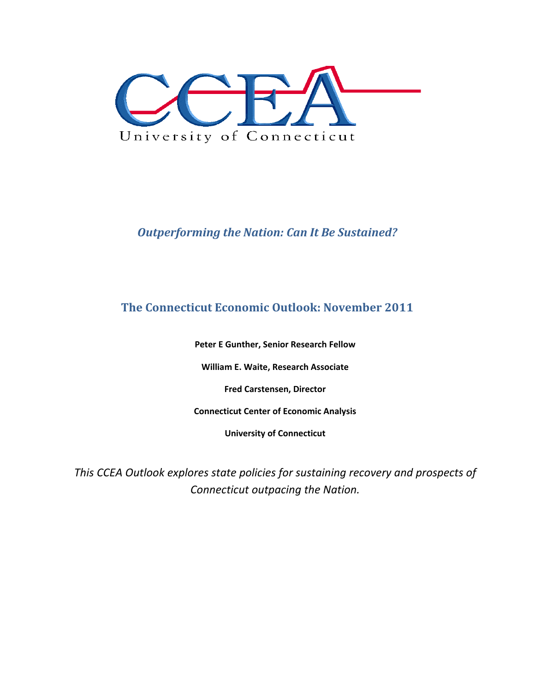

# *Outperforming the Nation: Can It Be Sustained?*

## **The Connecticut Economic Outlook: November 2011**

**Peter E Gunther, Senior Research Fellow**

**William E. Waite, Research Associate**

**Fred Carstensen, Director**

**Connecticut Center of Economic Analysis**

**University of Connecticut**

*This CCEA Outlook explores state policies for sustaining recovery and prospects of Connecticut outpacing the Nation.*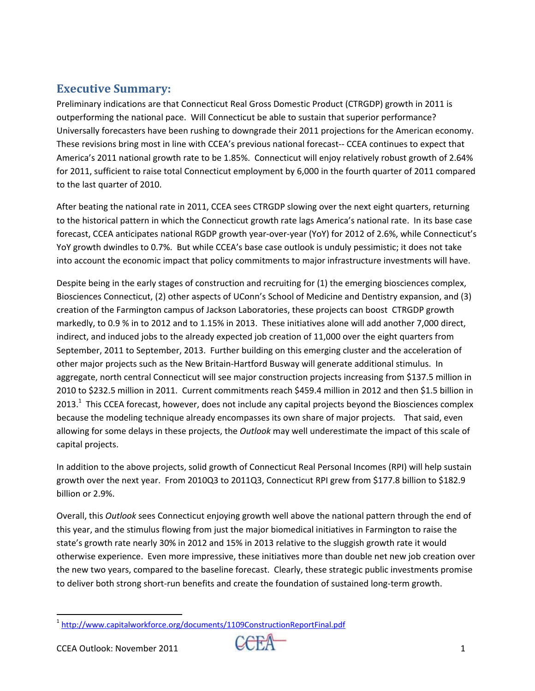## **Executive Summary:**

Preliminary indications are that Connecticut Real Gross Domestic Product (CTRGDP) growth in 2011 is outperforming the national pace. Will Connecticut be able to sustain that superior performance? Universally forecasters have been rushing to downgrade their 2011 projections for the American economy. These revisions bring most in line with CCEA's previous national forecast-- CCEA continues to expect that America's 2011 national growth rate to be 1.85%. Connecticut will enjoy relatively robust growth of 2.64% for 2011, sufficient to raise total Connecticut employment by 6,000 in the fourth quarter of 2011 compared to the last quarter of 2010.

After beating the national rate in 2011, CCEA sees CTRGDP slowing over the next eight quarters, returning to the historical pattern in which the Connecticut growth rate lags America's national rate. In its base case forecast, CCEA anticipates national RGDP growth year‐over‐year (YoY) for 2012 of 2.6%, while Connecticut's YoY growth dwindles to 0.7%. But while CCEA's base case outlook is unduly pessimistic; it does not take into account the economic impact that policy commitments to major infrastructure investments will have.

Despite being in the early stages of construction and recruiting for (1) the emerging biosciences complex, Biosciences Connecticut, (2) other aspects of UConn's School of Medicine and Dentistry expansion, and (3) creation of the Farmington campus of Jackson Laboratories, these projects can boost CTRGDP growth markedly, to 0.9 % in to 2012 and to 1.15% in 2013. These initiatives alone will add another 7,000 direct, indirect, and induced jobs to the already expected job creation of 11,000 over the eight quarters from September, 2011 to September, 2013. Further building on this emerging cluster and the acceleration of other major projects such as the New Britain‐Hartford Busway will generate additional stimulus. In aggregate, north central Connecticut will see major construction projects increasing from \$137.5 million in 2010 to \$232.5 million in 2011. Current commitments reach \$459.4 million in 2012 and then \$1.5 billion in 2013.<sup>1</sup> This CCEA forecast, however, does not include any capital projects beyond the Biosciences complex because the modeling technique already encompasses its own share of major projects. That said, even allowing for some delays in these projects, the *Outlook* may well underestimate the impact of this scale of capital projects.

In addition to the above projects, solid growth of Connecticut Real Personal Incomes (RPI) will help sustain growth over the next year. From 2010Q3 to 2011Q3, Connecticut RPI grew from \$177.8 billion to \$182.9 billion or 2.9%.

Overall, this *Outlook* sees Connecticut enjoying growth well above the national pattern through the end of this year, and the stimulus flowing from just the major biomedical initiatives in Farmington to raise the state's growth rate nearly 30% in 2012 and 15% in 2013 relative to the sluggish growth rate it would otherwise experience. Even more impressive, these initiatives more than double net new job creation over the new two years, compared to the baseline forecast. Clearly, these strategic public investments promise to deliver both strong short-run benefits and create the foundation of sustained long-term growth.

<sup>&</sup>lt;sup>1</sup> http://www.capitalworkforce.org/documents/1109ConstructionReportFinal.pdf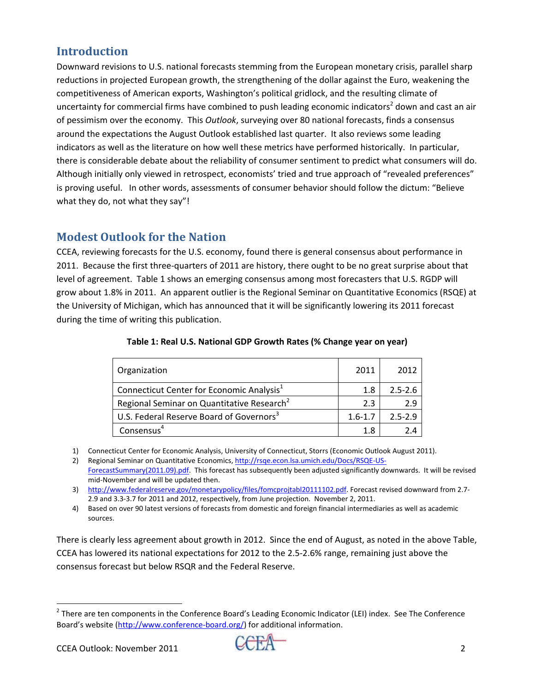# **Introduction**

Downward revisions to U.S. national forecasts stemming from the European monetary crisis, parallel sharp reductions in projected European growth, the strengthening of the dollar against the Euro, weakening the competitiveness of American exports, Washington's political gridlock, and the resulting climate of uncertainty for commercial firms have combined to push leading economic indicators<sup>2</sup> down and cast an air of pessimism over the economy. This *Outlook*, surveying over 80 national forecasts, finds a consensus around the expectations the August Outlook established last quarter. It also reviews some leading indicators as well as the literature on how well these metrics have performed historically. In particular, there is considerable debate about the reliability of consumer sentiment to predict what consumers will do. Although initially only viewed in retrospect, economists' tried and true approach of "revealed preferences" is proving useful. In other words, assessments of consumer behavior should follow the dictum: "Believe what they do, not what they say"!

### **Modest Outlook for the Nation**

CCEA, reviewing forecasts for the U.S. economy, found there is general consensus about performance in 2011. Because the first three‐quarters of 2011 are history, there ought to be no great surprise about that level of agreement. Table 1 shows an emerging consensus among most forecasters that U.S. RGDP will grow about 1.8% in 2011. An apparent outlier is the Regional Seminar on Quantitative Economics (RSQE) at the University of Michigan, which has announced that it will be significantly lowering its 2011 forecast during the time of writing this publication.

| Organization                                           | 2011        | 2012        |
|--------------------------------------------------------|-------------|-------------|
| Connecticut Center for Economic Analysis <sup>1</sup>  | 1.8         | $2.5 - 2.6$ |
| Regional Seminar on Quantitative Research <sup>2</sup> | 2.3         | 2.9         |
| U.S. Federal Reserve Board of Governors <sup>3</sup>   | $1.6 - 1.7$ | $2.5 - 2.9$ |
| Consensus <sup>4</sup>                                 | 1.8         | 2.4         |

| Table 1: Real U.S. National GDP Growth Rates (% Change year on year) |  |  |  |  |  |
|----------------------------------------------------------------------|--|--|--|--|--|
|----------------------------------------------------------------------|--|--|--|--|--|

1) Connecticut Center for Economic Analysis, University of Connecticut, Storrs (Economic Outlook August 2011).

2) Regional Seminar on Quantitative Economics, http://rsqe.econ.lsa.umich.edu/Docs/RSQE-US-ForecastSummary(2011.09).pdf. This forecast has subsequently been adjusted significantly downwards. It will be revised mid‐November and will be updated then.

3) http://www.federalreserve.gov/monetarypolicy/files/fomcprojtabl20111102.pdf. Forecast revised downward from 2.7-2.9 and 3.3‐3.7 for 2011 and 2012, respectively, from June projection. November 2, 2011.

4) Based on over 90 latest versions of forecasts from domestic and foreign financial intermediaries as well as academic sources.

There is clearly less agreement about growth in 2012. Since the end of August, as noted in the above Table, CCEA has lowered its national expectations for 2012 to the 2.5‐2.6% range, remaining just above the consensus forecast but below RSQR and the Federal Reserve.

 $2$  There are ten components in the Conference Board's Leading Economic Indicator (LEI) index. See The Conference Board's website (http://www.conference‐board.org/) for additional information.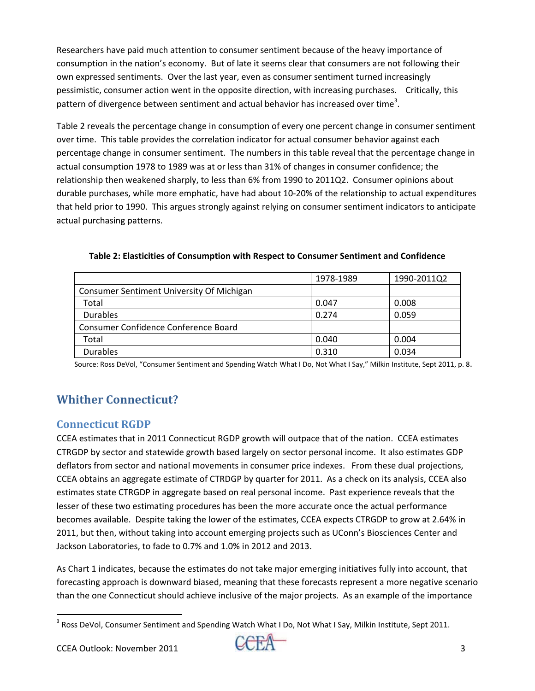Researchers have paid much attention to consumer sentiment because of the heavy importance of consumption in the nation's economy. But of late it seems clear that consumers are not following their own expressed sentiments. Over the last year, even as consumer sentiment turned increasingly pessimistic, consumer action went in the opposite direction, with increasing purchases. Critically, this pattern of divergence between sentiment and actual behavior has increased over time<sup>3</sup>.

Table 2 reveals the percentage change in consumption of every one percent change in consumer sentiment over time. This table provides the correlation indicator for actual consumer behavior against each percentage change in consumer sentiment. The numbers in this table reveal that the percentage change in actual consumption 1978 to 1989 was at or less than 31% of changes in consumer confidence; the relationship then weakened sharply, to less than 6% from 1990 to 2011Q2. Consumer opinions about durable purchases, while more emphatic, have had about 10‐20% of the relationship to actual expenditures that held prior to 1990. This argues strongly against relying on consumer sentiment indicators to anticipate actual purchasing patterns.

|                                           | 1978-1989 | 1990-2011Q2 |
|-------------------------------------------|-----------|-------------|
| Consumer Sentiment University Of Michigan |           |             |
| Total                                     | 0.047     | 0.008       |
| <b>Durables</b>                           | 0.274     | 0.059       |
| Consumer Confidence Conference Board      |           |             |
| Total                                     | 0.040     | 0.004       |
| <b>Durables</b>                           | 0.310     | 0.034       |

**Table 2: Elasticities of Consumption with Respect to Consumer Sentiment and Confidence**

Source: Ross DeVol, "Consumer Sentiment and Spending Watch What I Do, Not What I Say," Milkin Institute, Sept 2011, p. 8.

# **Whither Connecticut?**

#### **Connecticut RGDP**

CCEA estimates that in 2011 Connecticut RGDP growth will outpace that of the nation. CCEA estimates CTRGDP by sector and statewide growth based largely on sector personal income. It also estimates GDP deflators from sector and national movements in consumer price indexes. From these dual projections, CCEA obtains an aggregate estimate of CTRDGP by quarter for 2011. As a check on its analysis, CCEA also estimates state CTRGDP in aggregate based on real personal income. Past experience reveals that the lesser of these two estimating procedures has been the more accurate once the actual performance becomes available. Despite taking the lower of the estimates, CCEA expects CTRGDP to grow at 2.64% in 2011, but then, without taking into account emerging projects such as UConn's Biosciences Center and Jackson Laboratories, to fade to 0.7% and 1.0% in 2012 and 2013.

As Chart 1 indicates, because the estimates do not take major emerging initiatives fully into account, that forecasting approach is downward biased, meaning that these forecasts represent a more negative scenario than the one Connecticut should achieve inclusive of the major projects. As an example of the importance



 <sup>3</sup> Ross DeVol, Consumer Sentiment and Spending Watch What I Do, Not What I Say, Milkin Institute, Sept 2011.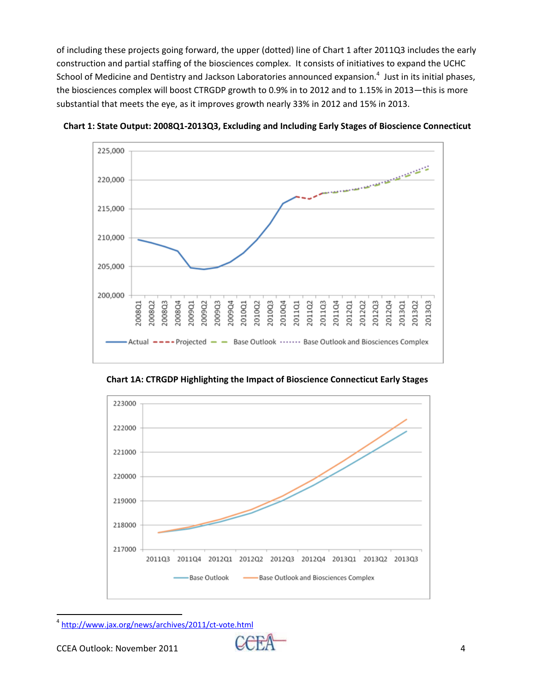of including these projects going forward, the upper (dotted) line of Chart 1 after 2011Q3 includes the early construction and partial staffing of the biosciences complex. It consists of initiatives to expand the UCHC School of Medicine and Dentistry and Jackson Laboratories announced expansion.<sup>4</sup> Just in its initial phases, the biosciences complex will boost CTRGDP growth to 0.9% in to 2012 and to 1.15% in 2013—this is more substantial that meets the eye, as it improves growth nearly 33% in 2012 and 15% in 2013.



**Chart 1: State Output: 2008Q1‐2013Q3, Excluding and Including Early Stages of Bioscience Connecticut**

**Chart 1A: CTRGDP Highlighting the Impact of Bioscience Connecticut Early Stages**



 <sup>4</sup> http://www.jax.org/news/archives/2011/ct‐vote.html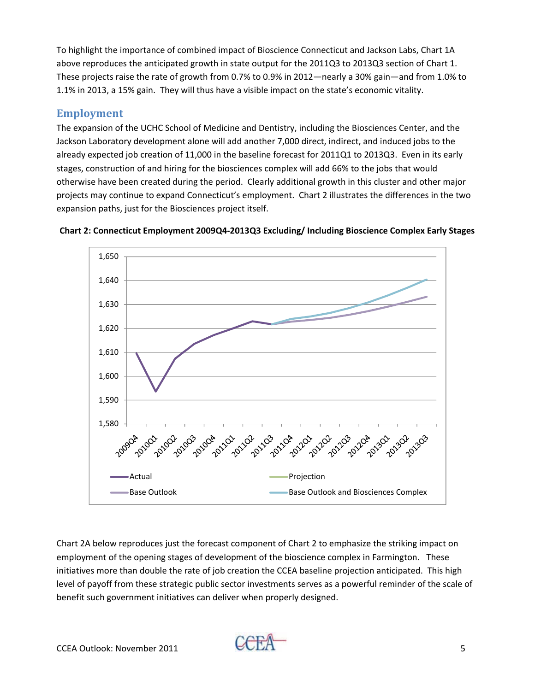To highlight the importance of combined impact of Bioscience Connecticut and Jackson Labs, Chart 1A above reproduces the anticipated growth in state output for the 2011Q3 to 2013Q3 section of Chart 1. These projects raise the rate of growth from 0.7% to 0.9% in 2012—nearly a 30% gain—and from 1.0% to 1.1% in 2013, a 15% gain. They will thus have a visible impact on the state's economic vitality.

#### **Employment**

The expansion of the UCHC School of Medicine and Dentistry, including the Biosciences Center, and the Jackson Laboratory development alone will add another 7,000 direct, indirect, and induced jobs to the already expected job creation of 11,000 in the baseline forecast for 2011Q1 to 2013Q3. Even in its early stages, construction of and hiring for the biosciences complex will add 66% to the jobs that would otherwise have been created during the period. Clearly additional growth in this cluster and other major projects may continue to expand Connecticut's employment. Chart 2 illustrates the differences in the two expansion paths, just for the Biosciences project itself.



**Chart 2: Connecticut Employment 2009Q4‐2013Q3 Excluding/ Including Bioscience Complex Early Stages**

Chart 2A below reproduces just the forecast component of Chart 2 to emphasize the striking impact on employment of the opening stages of development of the bioscience complex in Farmington. These initiatives more than double the rate of job creation the CCEA baseline projection anticipated. This high level of payoff from these strategic public sector investments serves as a powerful reminder of the scale of benefit such government initiatives can deliver when properly designed.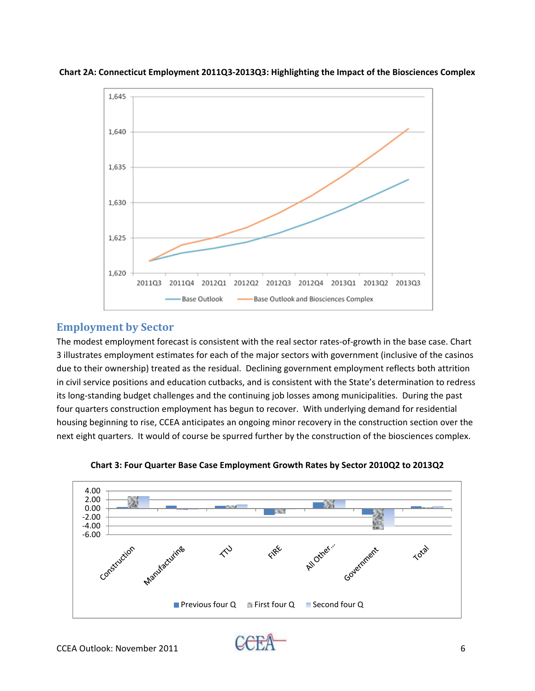

**Chart 2A: Connecticut Employment 2011Q3‐2013Q3: Highlighting the Impact of the Biosciences Complex**

#### **Employment by Sector**

The modest employment forecast is consistent with the real sector rates-of-growth in the base case. Chart 3 illustrates employment estimates for each of the major sectors with government (inclusive of the casinos due to their ownership) treated as the residual. Declining government employment reflects both attrition in civil service positions and education cutbacks, and is consistent with the State's determination to redress its long‐standing budget challenges and the continuing job losses among municipalities. During the past four quarters construction employment has begun to recover. With underlying demand for residential housing beginning to rise, CCEA anticipates an ongoing minor recovery in the construction section over the next eight quarters. It would of course be spurred further by the construction of the biosciences complex.



**Chart 3: Four Quarter Base Case Employment Growth Rates by Sector 2010Q2 to 2013Q2**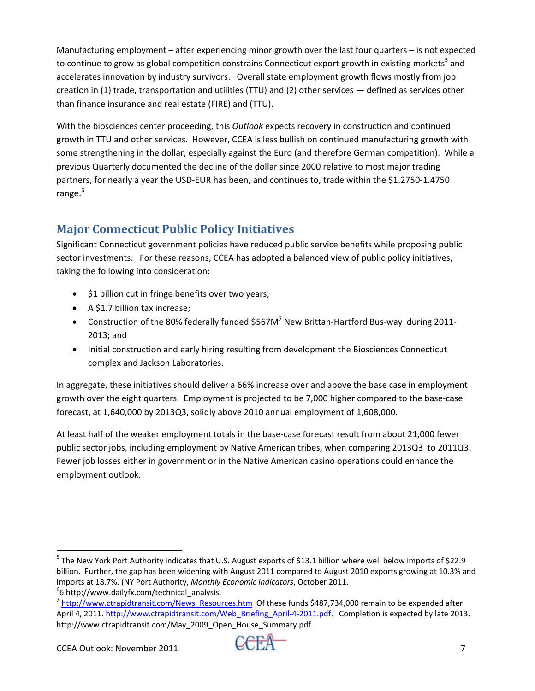Manufacturing employment – after experiencing minor growth over the last four quarters – is not expected to continue to grow as global competition constrains Connecticut export growth in existing markets<sup>5</sup> and accelerates innovation by industry survivors. Overall state employment growth flows mostly from job creation in (1) trade, transportation and utilities (TTU) and (2) other services — defined as services other than finance insurance and real estate (FIRE) and (TTU).

With the biosciences center proceeding, this *Outlook* expects recovery in construction and continued growth in TTU and other services. However, CCEA is less bullish on continued manufacturing growth with some strengthening in the dollar, especially against the Euro (and therefore German competition). While a previous Quarterly documented the decline of the dollar since 2000 relative to most major trading partners, for nearly a year the USD‐EUR has been, and continues to, trade within the \$1.2750‐1.4750 range.<sup>6</sup>

## **Major Connecticut Public Policy Initiatives**

Significant Connecticut government policies have reduced public service benefits while proposing public sector investments. For these reasons, CCEA has adopted a balanced view of public policy initiatives, taking the following into consideration:

- \$1 billion cut in fringe benefits over two years;
- A \$1.7 billion tax increase;
- Construction of the 80% federally funded \$567M<sup>7</sup> New Brittan-Hartford Bus-way during 2011-2013; and
- Initial construction and early hiring resulting from development the Biosciences Connecticut complex and Jackson Laboratories.

In aggregate, these initiatives should deliver a 66% increase over and above the base case in employment growth over the eight quarters. Employment is projected to be 7,000 higher compared to the base‐case forecast, at 1,640,000 by 2013Q3, solidly above 2010 annual employment of 1,608,000.

At least half of the weaker employment totals in the base‐case forecast result from about 21,000 fewer public sector jobs, including employment by Native American tribes, when comparing 2013Q3 to 2011Q3. Fewer job losses either in government or in the Native American casino operations could enhance the employment outlook.

  $^5$  The New York Port Authority indicates that U.S. August exports of \$13.1 billion where well below imports of \$22.9 billion. Further, the gap has been widening with August 2011 compared to August 2010 exports growing at 10.3% and Imports at 18.7%. (NY Port Authority, *Monthly Economic Indicators*, October 2011.<br><sup>6</sup>6 http://www.dailyfx.com/technical analysis.

 $^7$  http://www.ctrapidtransit.com/News\_Resources.htm Of these funds \$487,734,000 remain to be expended after April 4, 2011. http://www.ctrapidtransit.com/Web\_Briefing\_April-4-2011.pdf. Completion is expected by late 2013. http://www.ctrapidtransit.com/May\_2009\_Open\_House\_Summary.pdf.